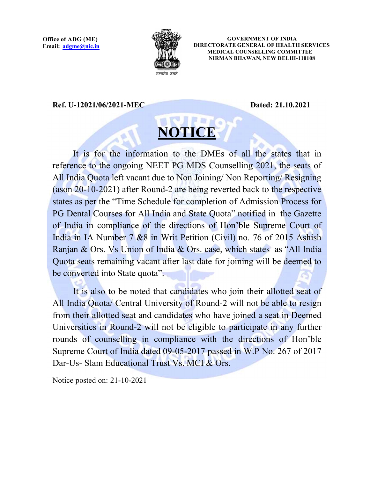

GOVERNMENT OF INDIA DIRECTORATE GENERAL OF HEALTH SERVICES MEDICAL COUNSELLING COMMITTEE NIRMAN BHAWAN, NEW DELHI-110108

Ref. U-12021/06/2021-MEC Dated: 21.10.2021

## **NOTICE**

It is for the information to the DMEs of all the states that in reference to the ongoing NEET PG MDS Counselling 2021, the seats of All India Quota left vacant due to Non Joining/ Non Reporting/ Resigning (as on  $20$ -10-2021) after Round-2 are being reverted back to the respective states as per the "Time Schedule for completion of Admission Process for PG Dental Courses for All India and State Quota" notified in the Gazette of India in compliance of the directions of Hon'ble Supreme Court of India in IA Number 7 &8 in Writ Petition (Civil) no. 76 of 2015 Ashish Ranjan & Ors. Vs Union of India & Ors. case, which states as "All India Quota seats remaining vacant after last date for joining will be deemed to be converted into State quota".

It is also to be noted that candidates who join their allotted seat of All India Quota/ Central University of Round-2 will not be able to resign from their allotted seat and candidates who have joined a seat in Deemed Universities in Round-2 will not be eligible to participate in any further rounds of counselling in compliance with the directions of Hon'ble Supreme Court of India dated 09-05-2017 passed in W.P No. 267 of 2017 Dar-Us- Slam Educational Trust Vs. MCI & Ors.

Notice posted on: 21-10-2021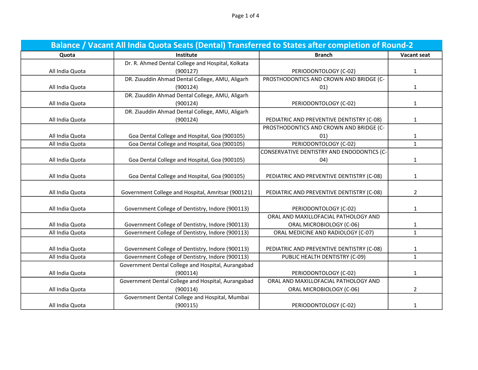Page 1 of 4

| Balance / Vacant All India Quota Seats (Dental) Transferred to States after completion of Round-2 |                                                    |                                            |                    |  |
|---------------------------------------------------------------------------------------------------|----------------------------------------------------|--------------------------------------------|--------------------|--|
| Quota                                                                                             | Institute                                          | <b>Branch</b>                              | <b>Vacant seat</b> |  |
|                                                                                                   | Dr. R. Ahmed Dental College and Hospital, Kolkata  |                                            |                    |  |
| All India Quota                                                                                   | (900127)                                           | PERIODONTOLOGY (C-02)                      | $\mathbf{1}$       |  |
|                                                                                                   | DR. Ziauddin Ahmad Dental College, AMU, Aligarh    | PROSTHODONTICS AND CROWN AND BRIDGE (C-    |                    |  |
| All India Quota                                                                                   | (900124)                                           | 01)                                        | $\mathbf{1}$       |  |
|                                                                                                   | DR. Ziauddin Ahmad Dental College, AMU, Aligarh    |                                            |                    |  |
| All India Quota                                                                                   | (900124)                                           | PERIODONTOLOGY (C-02)                      | $\mathbf{1}$       |  |
|                                                                                                   | DR. Ziauddin Ahmad Dental College, AMU, Aligarh    |                                            |                    |  |
| All India Quota                                                                                   | (900124)                                           | PEDIATRIC AND PREVENTIVE DENTISTRY (C-08)  | $\mathbf{1}$       |  |
|                                                                                                   |                                                    | PROSTHODONTICS AND CROWN AND BRIDGE (C-    |                    |  |
| All India Quota                                                                                   | Goa Dental College and Hospital, Goa (900105)      | 01)                                        | $\mathbf{1}$       |  |
| All India Quota                                                                                   | Goa Dental College and Hospital, Goa (900105)      | PERIODONTOLOGY (C-02)                      | $\mathbf{1}$       |  |
|                                                                                                   |                                                    | CONSERVATIVE DENTISTRY AND ENDODONTICS (C- |                    |  |
| All India Quota                                                                                   | Goa Dental College and Hospital, Goa (900105)      | 04)                                        | $\mathbf{1}$       |  |
|                                                                                                   |                                                    |                                            |                    |  |
| All India Quota                                                                                   | Goa Dental College and Hospital, Goa (900105)      | PEDIATRIC AND PREVENTIVE DENTISTRY (C-08)  | 1                  |  |
|                                                                                                   |                                                    |                                            |                    |  |
| All India Quota                                                                                   | Government College and Hospital, Amritsar (900121) | PEDIATRIC AND PREVENTIVE DENTISTRY (C-08)  | $\overline{2}$     |  |
|                                                                                                   |                                                    |                                            |                    |  |
| All India Quota                                                                                   | Government College of Dentistry, Indore (900113)   | PERIODONTOLOGY (C-02)                      | $\mathbf{1}$       |  |
|                                                                                                   |                                                    | ORAL AND MAXILLOFACIAL PATHOLOGY AND       |                    |  |
| All India Quota                                                                                   | Government College of Dentistry, Indore (900113)   | ORAL MICROBIOLOGY (C-06)                   | 1                  |  |
| All India Quota                                                                                   | Government College of Dentistry, Indore (900113)   | ORAL MEDICINE AND RADIOLOGY (C-07)         | $\mathbf{1}$       |  |
|                                                                                                   |                                                    |                                            |                    |  |
| All India Quota                                                                                   | Government College of Dentistry, Indore (900113)   | PEDIATRIC AND PREVENTIVE DENTISTRY (C-08)  | $\mathbf{1}$       |  |
| All India Quota                                                                                   | Government College of Dentistry, Indore (900113)   | PUBLIC HEALTH DENTISTRY (C-09)             | $\mathbf{1}$       |  |
|                                                                                                   | Government Dental College and Hospital, Aurangabad |                                            |                    |  |
| All India Quota                                                                                   | (900114)                                           | PERIODONTOLOGY (C-02)                      | 1                  |  |
|                                                                                                   | Government Dental College and Hospital, Aurangabad | ORAL AND MAXILLOFACIAL PATHOLOGY AND       |                    |  |
| All India Quota                                                                                   | (900114)                                           | ORAL MICROBIOLOGY (C-06)                   | $\overline{2}$     |  |
|                                                                                                   | Government Dental College and Hospital, Mumbai     |                                            |                    |  |
| All India Quota                                                                                   | (900115)                                           | PERIODONTOLOGY (C-02)                      | $\mathbf{1}$       |  |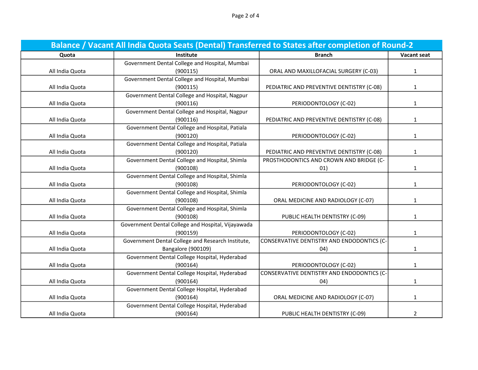Page 2 of 4

| Balance / Vacant All India Quota Seats (Dental) Transferred to States after completion of Round-2 |                                                    |                                            |                    |
|---------------------------------------------------------------------------------------------------|----------------------------------------------------|--------------------------------------------|--------------------|
| Quota                                                                                             | Institute                                          | <b>Branch</b>                              | <b>Vacant seat</b> |
|                                                                                                   | Government Dental College and Hospital, Mumbai     |                                            |                    |
| All India Quota                                                                                   | (900115)                                           | ORAL AND MAXILLOFACIAL SURGERY (C-03)      | $\mathbf{1}$       |
|                                                                                                   | Government Dental College and Hospital, Mumbai     |                                            |                    |
| All India Quota                                                                                   | (900115)                                           | PEDIATRIC AND PREVENTIVE DENTISTRY (C-08)  | $\mathbf{1}$       |
|                                                                                                   | Government Dental College and Hospital, Nagpur     |                                            |                    |
| All India Quota                                                                                   | (900116)                                           | PERIODONTOLOGY (C-02)                      | $\mathbf{1}$       |
|                                                                                                   | Government Dental College and Hospital, Nagpur     |                                            |                    |
| All India Quota                                                                                   | (900116)                                           | PEDIATRIC AND PREVENTIVE DENTISTRY (C-08)  | $\mathbf{1}$       |
|                                                                                                   | Government Dental College and Hospital, Patiala    |                                            |                    |
| All India Quota                                                                                   | (900120)                                           | PERIODONTOLOGY (C-02)                      | $\mathbf{1}$       |
|                                                                                                   | Government Dental College and Hospital, Patiala    |                                            |                    |
| All India Quota                                                                                   | (900120)                                           | PEDIATRIC AND PREVENTIVE DENTISTRY (C-08)  | $\mathbf{1}$       |
|                                                                                                   | Government Dental College and Hospital, Shimla     | PROSTHODONTICS AND CROWN AND BRIDGE (C-    |                    |
| All India Quota                                                                                   | (900108)                                           | 01)                                        | $\mathbf{1}$       |
|                                                                                                   | Government Dental College and Hospital, Shimla     |                                            |                    |
| All India Quota                                                                                   | (900108)                                           | PERIODONTOLOGY (C-02)                      | $\mathbf{1}$       |
|                                                                                                   | Government Dental College and Hospital, Shimla     |                                            |                    |
| All India Quota                                                                                   | (900108)                                           | ORAL MEDICINE AND RADIOLOGY (C-07)         | $\mathbf{1}$       |
|                                                                                                   | Government Dental College and Hospital, Shimla     |                                            |                    |
| All India Quota                                                                                   | (900108)                                           | PUBLIC HEALTH DENTISTRY (C-09)             | $\mathbf{1}$       |
|                                                                                                   | Government Dental College and Hospital, Vijayawada |                                            |                    |
| All India Quota                                                                                   | (900159)                                           | PERIODONTOLOGY (C-02)                      | $\mathbf{1}$       |
|                                                                                                   | Government Dental College and Research Institute,  | CONSERVATIVE DENTISTRY AND ENDODONTICS (C- |                    |
| All India Quota                                                                                   | <b>Bangalore (900109)</b>                          | 04)                                        | 1                  |
|                                                                                                   | Government Dental College Hospital, Hyderabad      |                                            |                    |
| All India Quota                                                                                   | (900164)                                           | PERIODONTOLOGY (C-02)                      | $\mathbf{1}$       |
|                                                                                                   | Government Dental College Hospital, Hyderabad      | CONSERVATIVE DENTISTRY AND ENDODONTICS (C- |                    |
| All India Quota                                                                                   | (900164)                                           | (04)                                       | $\mathbf{1}$       |
|                                                                                                   | Government Dental College Hospital, Hyderabad      |                                            |                    |
| All India Quota                                                                                   | (900164)                                           | ORAL MEDICINE AND RADIOLOGY (C-07)         | 1                  |
|                                                                                                   | Government Dental College Hospital, Hyderabad      |                                            |                    |
| All India Quota                                                                                   | (900164)                                           | PUBLIC HEALTH DENTISTRY (C-09)             | 2                  |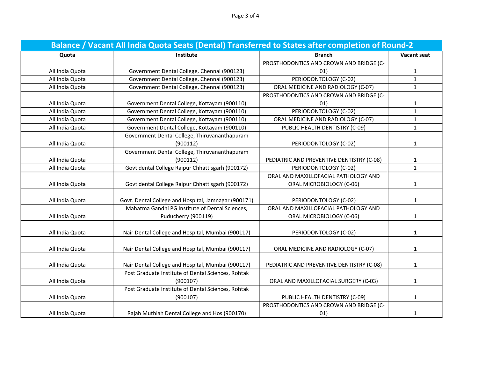| Balance / Vacant All India Quota Seats (Dental) Transferred to States after completion of Round-2 |                                                      |                                           |                    |
|---------------------------------------------------------------------------------------------------|------------------------------------------------------|-------------------------------------------|--------------------|
| Quota                                                                                             | Institute                                            | <b>Branch</b>                             | <b>Vacant seat</b> |
|                                                                                                   |                                                      | PROSTHODONTICS AND CROWN AND BRIDGE (C-   |                    |
| All India Quota                                                                                   | Government Dental College, Chennai (900123)          | 01)                                       | $\mathbf{1}$       |
| All India Quota                                                                                   | Government Dental College, Chennai (900123)          | PERIODONTOLOGY (C-02)                     | $\mathbf{1}$       |
| All India Quota                                                                                   | Government Dental College, Chennai (900123)          | ORAL MEDICINE AND RADIOLOGY (C-07)        | $\mathbf{1}$       |
|                                                                                                   |                                                      | PROSTHODONTICS AND CROWN AND BRIDGE (C-   |                    |
| All India Quota                                                                                   | Government Dental College, Kottayam (900110)         | 01)                                       | 1                  |
| All India Quota                                                                                   | Government Dental College, Kottayam (900110)         | PERIODONTOLOGY (C-02)                     | $\mathbf{1}$       |
| All India Quota                                                                                   | Government Dental College, Kottayam (900110)         | ORAL MEDICINE AND RADIOLOGY (C-07)        | $\mathbf{1}$       |
| All India Quota                                                                                   | Government Dental College, Kottayam (900110)         | PUBLIC HEALTH DENTISTRY (C-09)            | $\mathbf{1}$       |
|                                                                                                   | Government Dental College, Thiruvananthapuram        |                                           |                    |
| All India Quota                                                                                   | (900112)                                             | PERIODONTOLOGY (C-02)                     | $\mathbf{1}$       |
|                                                                                                   | Government Dental College, Thiruvananthapuram        |                                           |                    |
| All India Quota                                                                                   | (900112)                                             | PEDIATRIC AND PREVENTIVE DENTISTRY (C-08) | $\mathbf{1}$       |
| All India Quota                                                                                   | Govt dental College Raipur Chhattisgarh (900172)     | PERIODONTOLOGY (C-02)                     | $\mathbf{1}$       |
|                                                                                                   |                                                      | ORAL AND MAXILLOFACIAL PATHOLOGY AND      |                    |
| All India Quota                                                                                   | Govt dental College Raipur Chhattisgarh (900172)     | ORAL MICROBIOLOGY (C-06)                  | $\mathbf{1}$       |
|                                                                                                   |                                                      |                                           |                    |
| All India Quota                                                                                   | Govt. Dental College and Hospital, Jamnagar (900171) | PERIODONTOLOGY (C-02)                     | $\mathbf{1}$       |
|                                                                                                   | Mahatma Gandhi PG Institute of Dental Sciences,      | ORAL AND MAXILLOFACIAL PATHOLOGY AND      |                    |
| All India Quota                                                                                   | Puducherry (900119)                                  | ORAL MICROBIOLOGY (C-06)                  | $\mathbf{1}$       |
|                                                                                                   |                                                      |                                           |                    |
| All India Quota                                                                                   | Nair Dental College and Hospital, Mumbai (900117)    | PERIODONTOLOGY (C-02)                     | 1                  |
| All India Quota                                                                                   | Nair Dental College and Hospital, Mumbai (900117)    | ORAL MEDICINE AND RADIOLOGY (C-07)        |                    |
|                                                                                                   |                                                      |                                           | 1                  |
| All India Quota                                                                                   | Nair Dental College and Hospital, Mumbai (900117)    | PEDIATRIC AND PREVENTIVE DENTISTRY (C-08) | $\mathbf{1}$       |
|                                                                                                   | Post Graduate Institute of Dental Sciences, Rohtak   |                                           |                    |
| All India Quota                                                                                   | (900107)                                             | ORAL AND MAXILLOFACIAL SURGERY (C-03)     | $\mathbf{1}$       |
|                                                                                                   | Post Graduate Institute of Dental Sciences, Rohtak   |                                           |                    |
| All India Quota                                                                                   | (900107)                                             | PUBLIC HEALTH DENTISTRY (C-09)            | $\mathbf{1}$       |
|                                                                                                   |                                                      | PROSTHODONTICS AND CROWN AND BRIDGE (C-   |                    |
| All India Quota                                                                                   | Rajah Muthiah Dental College and Hos (900170)        | 01)                                       | $\mathbf{1}$       |